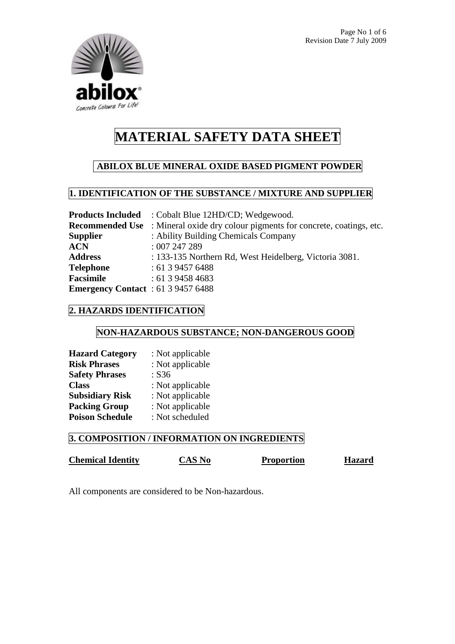

## **ABILOX BLUE MINERAL OXIDE BASED PIGMENT POWDER**

### **1. IDENTIFICATION OF THE SUBSTANCE / MIXTURE AND SUPPLIER**

|                                           | <b>Products Included</b> : Cobalt Blue 12HD/CD; Wedgewood.                              |
|-------------------------------------------|-----------------------------------------------------------------------------------------|
|                                           | <b>Recommended Use</b> : Mineral oxide dry colour pigments for concrete, coatings, etc. |
| <b>Supplier</b>                           | : Ability Building Chemicals Company                                                    |
| ACN                                       | :007247289                                                                              |
| <b>Address</b>                            | : 133-135 Northern Rd, West Heidelberg, Victoria 3081.                                  |
| Telephone                                 | : 61394576488                                                                           |
| Facsimile                                 | : 61394584683                                                                           |
| <b>Emergency Contact</b> : 61 3 9457 6488 |                                                                                         |

### **2. HAZARDS IDENTIFICATION**

### **NON-HAZARDOUS SUBSTANCE; NON-DANGEROUS GOOD**

| <b>Hazard Category</b> | : Not applicable |
|------------------------|------------------|
| <b>Risk Phrases</b>    | : Not applicable |
| <b>Safety Phrases</b>  | : S36            |
| <b>Class</b>           | : Not applicable |
| <b>Subsidiary Risk</b> | : Not applicable |
| <b>Packing Group</b>   | : Not applicable |
| <b>Poison Schedule</b> | : Not scheduled  |

### **3. COMPOSITION / INFORMATION ON INGREDIENTS**

## **Chemical Identity** CAS No Proportion Hazard

All components are considered to be Non-hazardous.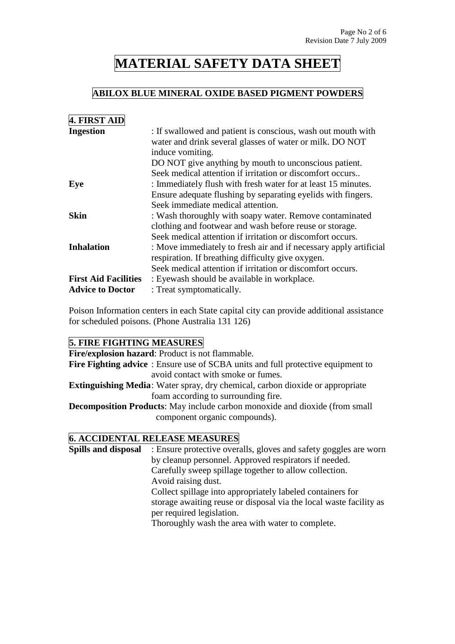### **ABILOX BLUE MINERAL OXIDE BASED PIGMENT POWDERS**

| 4. FIRST AID                |                                                                                                                                              |
|-----------------------------|----------------------------------------------------------------------------------------------------------------------------------------------|
| <b>Ingestion</b>            | : If swallowed and patient is conscious, wash out mouth with<br>water and drink several glasses of water or milk. DO NOT<br>induce vomiting. |
|                             | DO NOT give anything by mouth to unconscious patient.                                                                                        |
|                             | Seek medical attention if irritation or discomfort occurs                                                                                    |
| Eye                         | : Immediately flush with fresh water for at least 15 minutes.                                                                                |
|                             | Ensure adequate flushing by separating eyelids with fingers.                                                                                 |
|                             | Seek immediate medical attention.                                                                                                            |
| <b>Skin</b>                 | : Wash thoroughly with soapy water. Remove contaminated                                                                                      |
|                             | clothing and footwear and wash before reuse or storage.                                                                                      |
|                             | Seek medical attention if irritation or discomfort occurs.                                                                                   |
| <b>Inhalation</b>           | : Move immediately to fresh air and if necessary apply artificial                                                                            |
|                             | respiration. If breathing difficulty give oxygen.                                                                                            |
|                             | Seek medical attention if irritation or discomfort occurs.                                                                                   |
| <b>First Aid Facilities</b> | : Eyewash should be available in workplace.                                                                                                  |
| <b>Advice to Doctor</b>     | : Treat symptomatically.                                                                                                                     |

Poison Information centers in each State capital city can provide additional assistance for scheduled poisons. (Phone Australia 131 126)

### **5. FIRE FIGHTING MEASURES**

**Fire/explosion hazard**: Product is not flammable. **Fire Fighting advice** : Ensure use of SCBA units and full protective equipment to avoid contact with smoke or fumes. **Extinguishing Media**: Water spray, dry chemical, carbon dioxide or appropriate foam according to surrounding fire. **Decomposition Products**: May include carbon monoxide and dioxide (from small component organic compounds).

#### **6. ACCIDENTAL RELEASE MEASURES**

**Spills and disposal** : Ensure protective overalls, gloves and safety goggles are worn by cleanup personnel. Approved respirators if needed. Carefully sweep spillage together to allow collection. Avoid raising dust. Collect spillage into appropriately labeled containers for storage awaiting reuse or disposal via the local waste facility as per required legislation. Thoroughly wash the area with water to complete.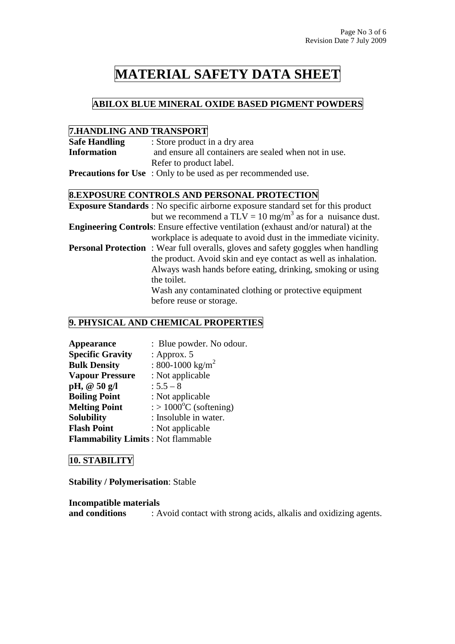## **ABILOX BLUE MINERAL OXIDE BASED PIGMENT POWDERS**

### **7.HANDLING AND TRANSPORT**

| <b>Safe Handling</b> | : Store product in a dry area                                        |
|----------------------|----------------------------------------------------------------------|
| <b>Information</b>   | and ensure all containers are sealed when not in use.                |
|                      | Refer to product label.                                              |
|                      | <b>Precautions for Use</b> : Only to be used as per recommended use. |

### **8.EXPOSURE CONTROLS AND PERSONAL PROTECTION**

| <b>Exposure Standards</b> : No specific airborne exposure standard set for this product   |
|-------------------------------------------------------------------------------------------|
| but we recommend a TLV = 10 mg/m <sup>3</sup> as for a nuisance dust.                     |
| <b>Engineering Controls:</b> Ensure effective ventilation (exhaust and/or natural) at the |
| workplace is adequate to avoid dust in the immediate vicinity.                            |
| <b>Personal Protection</b> : Wear full overalls, gloves and safety goggles when handling  |
| the product. Avoid skin and eye contact as well as inhalation.                            |
| Always wash hands before eating, drinking, smoking or using                               |
| the toilet.                                                                               |
| Wash any contaminated clothing or protective equipment                                    |
| before reuse or storage.                                                                  |

#### **9. PHYSICAL AND CHEMICAL PROPERTIES**

| Appearance                                | : Blue powder. No odour.                       |
|-------------------------------------------|------------------------------------------------|
| <b>Specific Gravity</b>                   | : Approx. $5$                                  |
| <b>Bulk Density</b>                       | : 800-1000 kg/m <sup>2</sup>                   |
| <b>Vapour Pressure</b>                    | : Not applicable                               |
| pH, $@50$ g/l                             | $: 5.5 - 8$                                    |
| <b>Boiling Point</b>                      | : Not applicable                               |
| <b>Melting Point</b>                      | $\therefore$ > 1000 <sup>o</sup> C (softening) |
| <b>Solubility</b>                         | : Insoluble in water.                          |
| <b>Flash Point</b>                        | : Not applicable                               |
| <b>Flammability Limits: Not flammable</b> |                                                |

### **10. STABILITY**

**Stability / Polymerisation**: Stable

**Incompatible materials** 

**and conditions** : Avoid contact with strong acids, alkalis and oxidizing agents.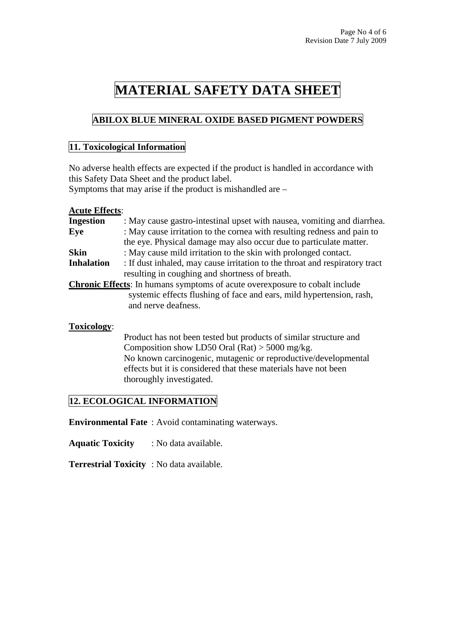### **ABILOX BLUE MINERAL OXIDE BASED PIGMENT POWDERS**

#### **11. Toxicological Information**

No adverse health effects are expected if the product is handled in accordance with this Safety Data Sheet and the product label.

Symptoms that may arise if the product is mishandled are –

#### **Acute Effects**:

| <b>Ingestion</b>  | : May cause gastro-intestinal upset with nausea, vomiting and diarrhea.             |
|-------------------|-------------------------------------------------------------------------------------|
| Eye               | : May cause irritation to the cornea with resulting redness and pain to             |
|                   | the eye. Physical damage may also occur due to particulate matter.                  |
| <b>Skin</b>       | : May cause mild irritation to the skin with prolonged contact.                     |
| <b>Inhalation</b> | : If dust inhaled, may cause irritation to the throat and respiratory tract         |
|                   | resulting in coughing and shortness of breath.                                      |
|                   | <b>Chronic Effects:</b> In humans symptoms of acute over exposure to cobalt include |
|                   | systemic effects flushing of face and ears, mild hypertension, rash,                |
|                   | and nerve deafness.                                                                 |
|                   |                                                                                     |
| Toxicology:       |                                                                                     |

 Product has not been tested but products of similar structure and Composition show LD50 Oral (Rat)  $>$  5000 mg/kg. No known carcinogenic, mutagenic or reproductive/developmental effects but it is considered that these materials have not been thoroughly investigated.

### **12. ECOLOGICAL INFORMATION**

**Environmental Fate** : Avoid contaminating waterways.

**Aquatic Toxicity** : No data available.

**Terrestrial Toxicity** : No data available.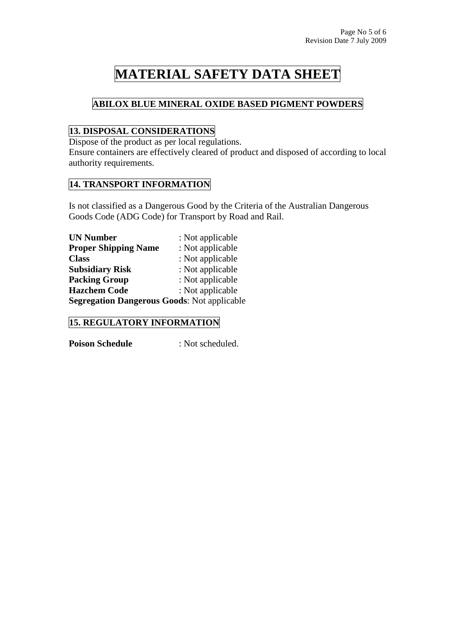## **ABILOX BLUE MINERAL OXIDE BASED PIGMENT POWDERS**

## **13. DISPOSAL CONSIDERATIONS**

Dispose of the product as per local regulations.

Ensure containers are effectively cleared of product and disposed of according to local authority requirements.

### **14. TRANSPORT INFORMATION**

Is not classified as a Dangerous Good by the Criteria of the Australian Dangerous Goods Code (ADG Code) for Transport by Road and Rail.

| <b>UN Number</b>                                   | : Not applicable |
|----------------------------------------------------|------------------|
| <b>Proper Shipping Name</b>                        | : Not applicable |
| <b>Class</b>                                       | : Not applicable |
| <b>Subsidiary Risk</b>                             | : Not applicable |
| <b>Packing Group</b>                               | : Not applicable |
| <b>Hazchem Code</b>                                | : Not applicable |
| <b>Segregation Dangerous Goods: Not applicable</b> |                  |

### **15. REGULATORY INFORMATION**

**Poison Schedule** : Not scheduled.